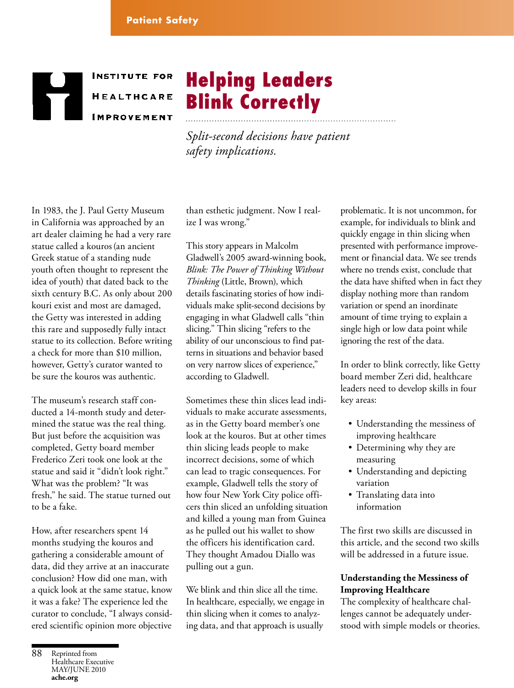# **INSTITUTE FOR HEALTHCARE IMPROVEMENT**

*Split-second decisions have patient safety implications.*

Helping Leaders

Blink Correctly

In 1983, the J. Paul Getty Museum in California was approached by an art dealer claiming he had a very rare statue called a kouros(an ancient Greek statue of a standing nude youth often thought to represent the idea of youth) that dated back to the sixth century B.C. As only about 200 kouri exist and most are damaged, the Getty was interested in adding this rare and supposedly fully intact statue to its collection. Before writing a check for more than \$10 million, however, Getty's curator wanted to be sure the kouros was authentic.

The museum's research staff conducted a 14-month study and determined the statue was the real thing. But just before the acquisition was completed, Getty board member Frederico Zeri took one look at the statue and said it "didn't look right." What was the problem? "It was fresh," he said. The statue turned out to be a fake.

How, after researchers spent 14 months studying the kouros and gathering a considerable amount of data, did they arrive at an inaccurate conclusion? How did one man, with a quick look at the same statue, know it was a fake? The experience led the curator to conclude, "I always considered scientific opinion more objective

than esthetic judgment. Now I realize I was wrong."

This story appears in Malcolm Gladwell's 2005 award-winning book, *Blink: The Power of Thinking Without Thinking* (Little, Brown), which details fascinating stories of how individuals make split-second decisions by engaging in what Gladwell calls "thin slicing." Thin slicing "refers to the ability of our unconscious to find patterns in situations and behavior based on very narrow slices of experience," according to Gladwell.

Sometimes these thin slices lead individuals to make accurate assessments, as in the Getty board member's one look at the kouros. But at other times thin slicing leads people to make incorrect decisions, some of which can lead to tragic consequences. For example, Gladwell tells the story of how four New York City police officers thin sliced an unfolding situation and killed a young man from Guinea as he pulled out his wallet to show the officers his identification card. They thought Amadou Diallo was pulling out a gun.

We blink and thin slice all the time. In healthcare, especially, we engage in thin slicing when it comes to analyzing data, and that approach is usually

problematic. It is not uncommon, for example, for individuals to blink and quickly engage in thin slicing when presented with performance improvement or financial data. We see trends where no trends exist, conclude that the data have shifted when in fact they display nothing more than random variation or spend an inordinate amount of time trying to explain a single high or low data point while ignoring the rest of the data.

In order to blink correctly, like Getty board member Zeri did, healthcare leaders need to develop skills in four key areas:

- Understanding the messiness of improving healthcare
- Determining why they are measuring
- Understanding and depicting variation
- Translating data into information

The first two skills are discussed in this article, and the second two skills will be addressed in a future issue.

### **Understanding the Messiness of Improving Healthcare**

The complexity of healthcare challenges cannot be adequately understood with simple models or theories.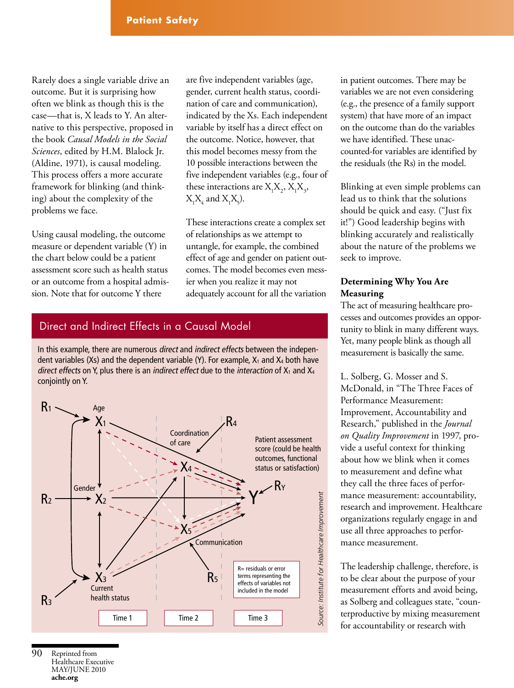Rarely does a single variable drive an outcome. But it is surprising how often we blink as though this is the case—that is, X leads to Y. An alternative to this perspective, proposed in the book *Causal Models in the Social Sciences*, edited by H.M. Blalock Jr. (Aldine, 1971), is causal modeling. This process offers a more accurate framework for blinking (and thinking) about the complexity of the problems we face.

Using causal modeling, the outcome measure or dependent variable (Y) in the chart below could be a patient assessment score such as health status or an outcome from a hospital admission. Note that for outcome Y there

are five independent variables (age, gender, current health status, coordination of care and communication), indicated by the Xs. Each independent variable by itself has a direct effect on the outcome. Notice, however, that this model becomes messy from the 10 possible interactions between the five independent variables (e.g., four of these interactions are  $X_1X_2, X_1X_3,$  $X_1X_4$  and  $X_1X_5$ ).

These interactions create a complex set of relationships as we attempt to untangle, for example, the combined effect of age and gender on patient outcomes. The model becomes even messier when you realize it may not adequately account for all the variation

## Direct and Indirect Effects in a Causal Model

In this example, there are numerous direct and indirect effects between the independent variables (Xs) and the dependent variable (Y). For example,  $X_1$  and  $X_4$  both have direct effects on Y, plus there is an indirect effect due to the interaction of  $X_1$  and  $X_4$ conjointly on Y.



in patient outcomes. There may be variables we are not even considering (e.g., the presence of a family support system) that have more of an impact on the outcome than do the variables we have identified. These unaccounted-for variables are identified by the residuals (the Rs) in the model.

Blinking at even simple problems can lead us to think that the solutions should be quick and easy. ("Just fix it!") Good leadership begins with blinking accurately and realistically about the nature of the problems we seek to improve.

### **Determining Why You Are Measuring**

The act of measuring healthcare processes and outcomes provides an opportunity to blink in many different ways. Yet, many people blink as though all measurement is basically the same.

L. Solberg, G. Mosser and S. McDonald, in "The Three Faces of Performance Measurement: Improvement, Accountability and Research," published in the *Journal on Quality Improvement* in 1997, provide a useful context for thinking about how we blink when it comes to measurement and define what they call the three faces of performance measurement: accountability, research and improvement. Healthcare organizations regularly engage in and use all three approaches to performance measurement.

The leadership challenge, therefore, is to be clear about the purpose of your measurement efforts and avoid being, as Solberg and colleagues state, "counterproductive by mixing measurement for accountability or research with

Reprinted from Healthcare Executive may/june 2010 **ache.org** 90